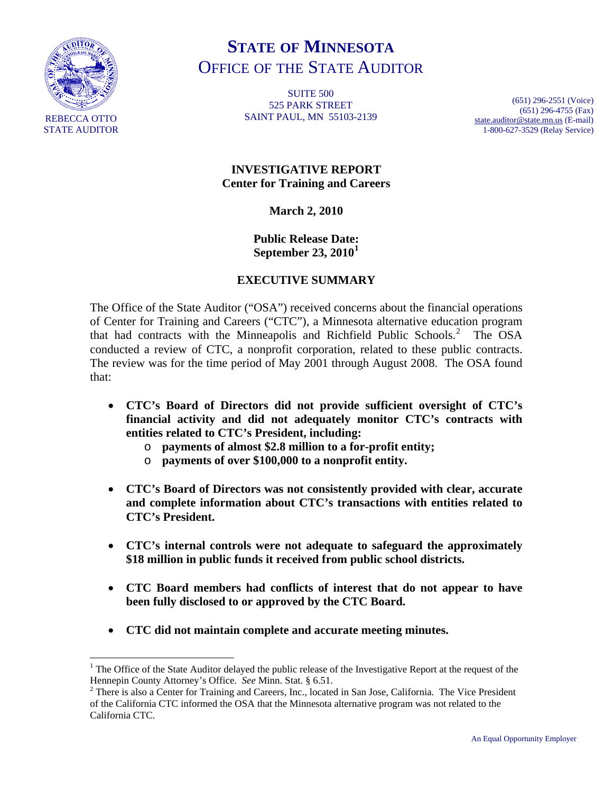

 $\overline{a}$ 

# **STATE OF MINNESOTA** OFFICE OF THE STATE AUDITOR

**SUITE 500** 525 PARK STREET SAINT PAUL, MN 55103-2139

(651) 296-2551 (Voice) (651) 296-4755 (Fax) [state.auditor@state.mn.us](mailto:state.auditor@state.mn.us) (E-mail) 1-800-627-3529 (Relay Service)

## **INVESTIGATIVE REPORT Center for Training and Careers**

#### **March 2, 2010**

**Public Release Date: September 23, 2010[1](#page-0-0)**

## **EXECUTIVE SUMMARY**

The Office of the State Auditor ("OSA") received concerns about the financial operations of Center for Training and Careers ("CTC"), a Minnesota alternative education program that had contracts with the Minneapolis and Richfield Public Schools.<sup>[2](#page-0-1)</sup> The OSA conducted a review of CTC, a nonprofit corporation, related to these public contracts. The review was for the time period of May 2001 through August 2008. The OSA found that:

- **CTC's Board of Directors did not provide sufficient oversight of CTC's financial activity and did not adequately monitor CTC's contracts with entities related to CTC's President, including:** 
	- o **payments of almost \$2.8 million to a for-profit entity;**
	- o **payments of over \$100,000 to a nonprofit entity.**
- **CTC's Board of Directors was not consistently provided with clear, accurate and complete information about CTC's transactions with entities related to CTC's President.**
- **CTC's internal controls were not adequate to safeguard the approximately \$18 million in public funds it received from public school districts.**
- **CTC Board members had conflicts of interest that do not appear to have been fully disclosed to or approved by the CTC Board.**
- **CTC did not maintain complete and accurate meeting minutes.**

<span id="page-0-0"></span><sup>&</sup>lt;sup>1</sup> The Office of the State Auditor delayed the public release of the Investigative Report at the request of the Hennepin County Attorney's Office. *See* Minn. Stat. § 6.51. 2

<span id="page-0-1"></span><sup>&</sup>lt;sup>2</sup> There is also a Center for Training and Careers, Inc., located in San Jose, California. The Vice President of the California CTC informed the OSA that the Minnesota alternative program was not related to the California CTC.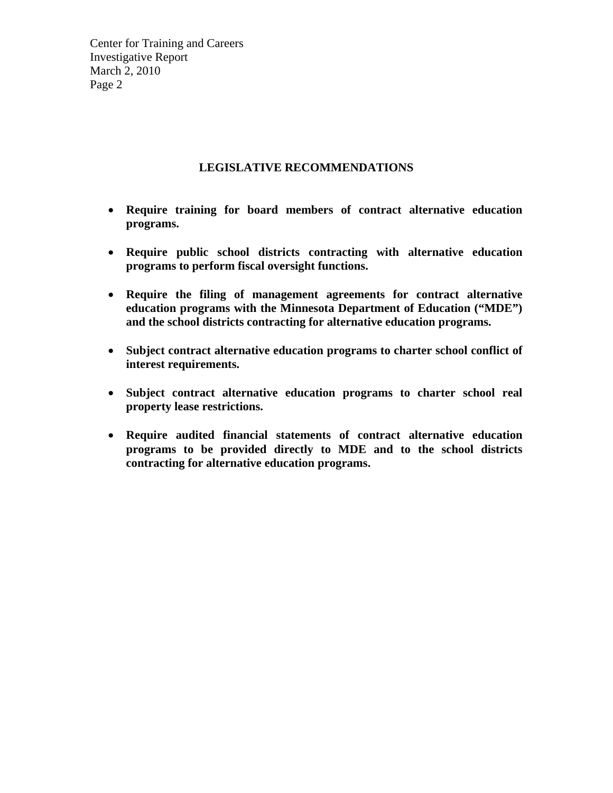#### **LEGISLATIVE RECOMMENDATIONS**

- **Require training for board members of contract alternative education programs.**
- **Require public school districts contracting with alternative education programs to perform fiscal oversight functions.**
- **Require the filing of management agreements for contract alternative education programs with the Minnesota Department of Education ("MDE") and the school districts contracting for alternative education programs.**
- **Subject contract alternative education programs to charter school conflict of interest requirements.**
- **Subject contract alternative education programs to charter school real property lease restrictions.**
- **Require audited financial statements of contract alternative education programs to be provided directly to MDE and to the school districts contracting for alternative education programs.**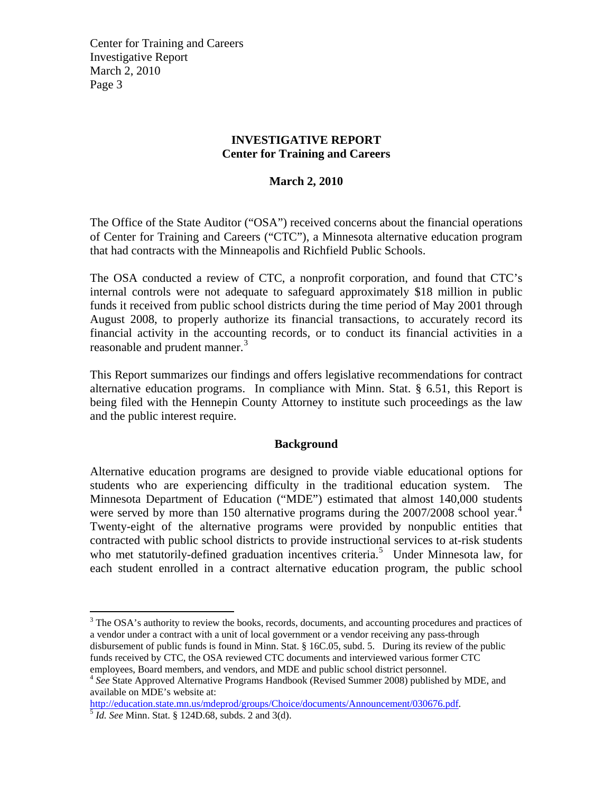#### **INVESTIGATIVE REPORT Center for Training and Careers**

## **March 2, 2010**

The Office of the State Auditor ("OSA") received concerns about the financial operations of Center for Training and Careers ("CTC"), a Minnesota alternative education program that had contracts with the Minneapolis and Richfield Public Schools.

The OSA conducted a review of CTC, a nonprofit corporation, and found that CTC's internal controls were not adequate to safeguard approximately \$18 million in public funds it received from public school districts during the time period of May 2001 through August 2008, to properly authorize its financial transactions, to accurately record its financial activity in the accounting records, or to conduct its financial activities in a reasonable and prudent manner.<sup>[3](#page-2-0)</sup>

This Report summarizes our findings and offers legislative recommendations for contract alternative education programs. In compliance with Minn. Stat. § 6.51, this Report is being filed with the Hennepin County Attorney to institute such proceedings as the law and the public interest require.

#### **Background**

Alternative education programs are designed to provide viable educational options for students who are experiencing difficulty in the traditional education system. The Minnesota Department of Education ("MDE") estimated that almost 140,000 students were served by more than 150 alternative programs during the 2007/2008 school year.<sup>[4](#page-2-1)</sup> Twenty-eight of the alternative programs were provided by nonpublic entities that contracted with public school districts to provide instructional services to at-risk students who met statutorily-defined graduation incentives criteria.<sup>[5](#page-2-2)</sup> Under Minnesota law, for each student enrolled in a contract alternative education program, the public school

<span id="page-2-0"></span> $3$  The OSA's authority to review the books, records, documents, and accounting procedures and practices of a vendor under a contract with a unit of local government or a vendor receiving any pass-through disbursement of public funds is found in Minn. Stat. § 16C.05, subd. 5. During its review of the public funds received by CTC, the OSA reviewed CTC documents and interviewed various former CTC employees, Board members, and vendors, and MDE and public school district personnel.

<span id="page-2-2"></span><http://education.state.mn.us/mdeprod/groups/Choice/documents/Announcement/030676.pdf>. [5](http://education.state.mn.us/mdeprod/groups/Choice/documents/Announcement/030676.pdf) *Id. See* Minn. Stat. § 124D.68, subds. 2 and 3(d).

<span id="page-2-1"></span><sup>&</sup>lt;sup>4</sup> See State Approved Alternative Programs Handbook (Revised Summer 2008) published by MDE, and available on MDE's website at: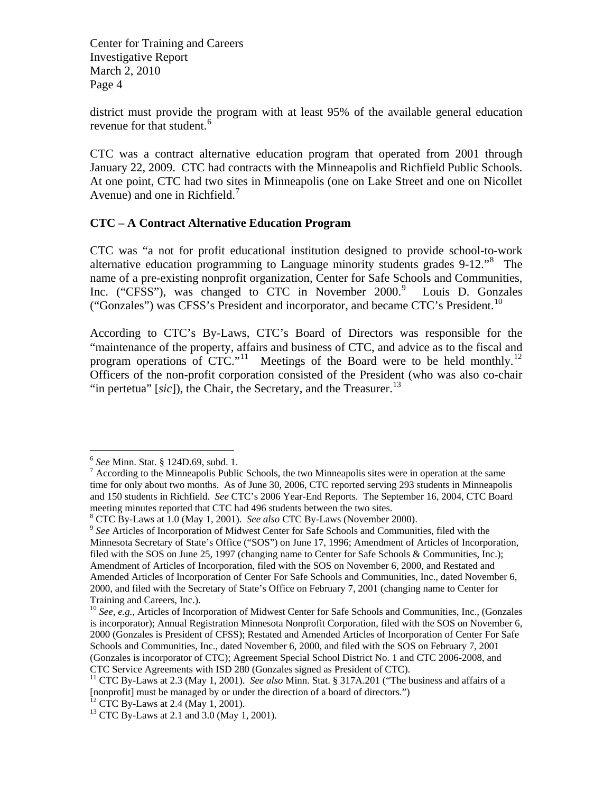district must provide the program with at least 95% of the available general education revenue for that student.<sup>[6](#page-3-0)</sup>

CTC was a contract alternative education program that operated from 2001 through January 22, 2009. CTC had contracts with the Minneapolis and Richfield Public Schools. At one point, CTC had two sites in Minneapolis (one on Lake Street and one on Nicollet Avenue) and one in Richfield.<sup>[7](#page-3-1)</sup>

#### **CTC – A Contract Alternative Education Program**

CTC was "a not for profit educational institution designed to provide school-to-work alternative education programming to Language minority students grades 9-12."[8](#page-3-2) The name of a pre-existing nonprofit organization, Center for Safe Schools and Communities, Inc. ("CFSS"), was changed to CTC in November 2000.<sup>[9](#page-3-3)</sup> Louis D. Gonzales ("Gonzales") was CFSS's President and incorporator, and became CTC's President.<sup>[10](#page-3-4)</sup>

According to CTC's By-Laws, CTC's Board of Directors was responsible for the "maintenance of the property, affairs and business of CTC, and advice as to the fiscal and program operations of CTC."<sup>[11](#page-3-5)</sup> Meetings of the Board were to be held monthly.<sup>12</sup> Officers of the non-profit corporation consisted of the President (who was also co-chair "in pertetua"  $[sic]$ ), the Chair, the Secretary, and the Treasurer.<sup>[13](#page-3-7)</sup>

<span id="page-3-0"></span><sup>6</sup> *See* Minn. Stat. § 124D.69, subd. 1. 7

<span id="page-3-1"></span> $\alpha$ <sup>7</sup> According to the Minneapolis Public Schools, the two Minneapolis sites were in operation at the same time for only about two months. As of June 30, 2006, CTC reported serving 293 students in Minneapolis and 150 students in Richfield. *See* CTC's 2006 Year-End Reports. The September 16, 2004, CTC Board meeting minutes reported that CTC had 496 students between the two sites.

 $8$  CTC By-Laws at 1.0 (May 1, 2001). See also CTC By-Laws (November 2000).

<span id="page-3-3"></span><span id="page-3-2"></span><sup>&</sup>lt;sup>9</sup> See Articles of Incorporation of Midwest Center for Safe Schools and Communities, filed with the Minnesota Secretary of State's Office ("SOS") on June 17, 1996; Amendment of Articles of Incorporation, filed with the SOS on June 25, 1997 (changing name to Center for Safe Schools & Communities, Inc.); Amendment of Articles of Incorporation, filed with the SOS on November 6, 2000, and Restated and Amended Articles of Incorporation of Center For Safe Schools and Communities, Inc., dated November 6, 2000, and filed with the Secretary of State's Office on February 7, 2001 (changing name to Center for Training and Careers, Inc.).

<span id="page-3-4"></span><sup>&</sup>lt;sup>10</sup> *See, e.g.*, Articles of Incorporation of Midwest Center for Safe Schools and Communities, Inc., (Gonzales is incorporator); Annual Registration Minnesota Nonprofit Corporation, filed with the SOS on November 6, 2000 (Gonzales is President of CFSS); Restated and Amended Articles of Incorporation of Center For Safe Schools and Communities, Inc., dated November 6, 2000, and filed with the SOS on February 7, 2001 (Gonzales is incorporator of CTC); Agreement Special School District No. 1 and CTC 2006-2008, and

<span id="page-3-5"></span>CTC Service Agreements with ISD 280 (Gonzales signed as President of CTC). 11 CTC By-Laws at 2.3 (May 1, 2001). *See also* Minn. Stat. § 317A.201 ("The business and affairs of a [nonprofit] must be managed by or under the direction of a board of directors.")

<span id="page-3-6"></span> $12$  CTC By-Laws at 2.4 (May 1, 2001).

<span id="page-3-7"></span><sup>&</sup>lt;sup>13</sup> CTC By-Laws at 2.1 and 3.0 (May 1, 2001).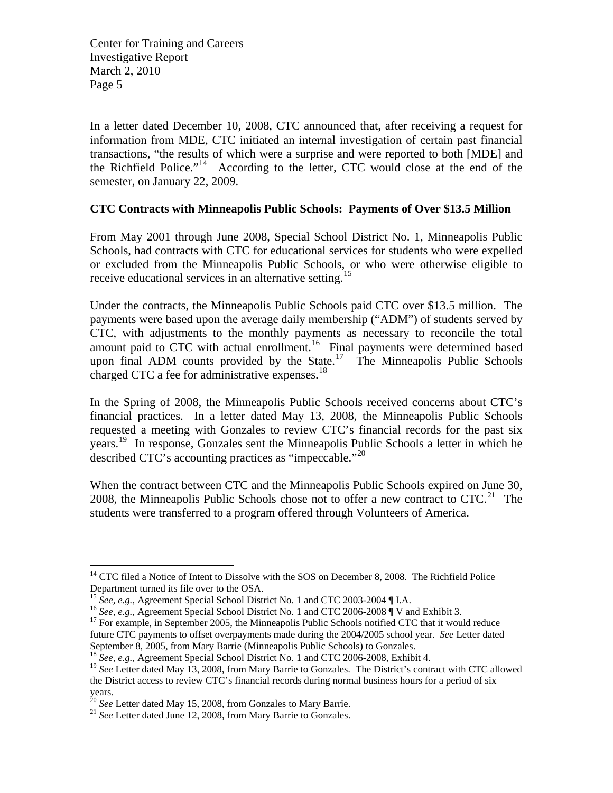In a letter dated December 10, 2008, CTC announced that, after receiving a request for information from MDE, CTC initiated an internal investigation of certain past financial transactions, "the results of which were a surprise and were reported to both [MDE] and the Richfield Police."[14](#page-4-0) According to the letter, CTC would close at the end of the semester, on January 22, 2009.

#### **CTC Contracts with Minneapolis Public Schools: Payments of Over \$13.5 Million**

From May 2001 through June 2008, Special School District No. 1, Minneapolis Public Schools, had contracts with CTC for educational services for students who were expelled or excluded from the Minneapolis Public Schools, or who were otherwise eligible to receive educational services in an alternative setting.<sup>[15](#page-4-1)</sup>

Under the contracts, the Minneapolis Public Schools paid CTC over \$13.5 million. The payments were based upon the average daily membership ("ADM") of students served by CTC, with adjustments to the monthly payments as necessary to reconcile the total amount paid to CTC with actual enrollment.<sup>[16](#page-4-2)</sup> Final payments were determined based upon final ADM counts provided by the State.<sup>[17](#page-4-3)</sup> The Minneapolis Public Schools charged CTC a fee for administrative expenses.<sup>[18](#page-4-4)</sup>

In the Spring of 2008, the Minneapolis Public Schools received concerns about CTC's financial practices. In a letter dated May 13, 2008, the Minneapolis Public Schools requested a meeting with Gonzales to review CTC's financial records for the past six years.<sup>[19](#page-4-5)</sup> In response, Gonzales sent the Minneapolis Public Schools a letter in which he described CTC's accounting practices as "impeccable."[20](#page-4-6)

When the contract between CTC and the Minneapolis Public Schools expired on June 30, 2008, the Minneapolis Public Schools chose not to offer a new contract to  $CTC<sup>21</sup>$  $CTC<sup>21</sup>$  $CTC<sup>21</sup>$ . The students were transferred to a program offered through Volunteers of America.

<span id="page-4-0"></span><sup>&</sup>lt;sup>14</sup> CTC filed a Notice of Intent to Dissolve with the SOS on December 8, 2008. The Richfield Police Department turned its file over to the OSA.<br><sup>15</sup> See, e.g., Agreement Special School District No. 1 and CTC 2003-2004 [I.A.

<span id="page-4-3"></span><span id="page-4-2"></span><span id="page-4-1"></span><sup>&</sup>lt;sup>16</sup> See, e.g., Agreement Special School District No. 1 and CTC 2006-2008  $\mathbf{\overline{q}}$  V and Exhibit 3.<br><sup>17</sup> For example, in September 2005, the Minneapolis Public Schools notified CTC that it would reduce future CTC payments to offset overpayments made during the 2004/2005 school year. *See* Letter dated September 8, 2005, from Mary Barrie (Minneapolis Public Schools) to Gonzales.

<sup>&</sup>lt;sup>18</sup> *See, e.g., Agreement Special School District No. 1 and CTC 2006-2008, Exhibit 4.* 

<span id="page-4-5"></span><span id="page-4-4"></span><sup>&</sup>lt;sup>19</sup> See Letter dated May 13, 2008, from Mary Barrie to Gonzales. The District's contract with CTC allowed the District access to review CTC's financial records during normal business hours for a period of six years.

<span id="page-4-6"></span><sup>&</sup>lt;sup>20</sup> *See* Letter dated May 15, 2008, from Gonzales to Mary Barrie.<br><sup>21</sup> *See* Letter dated June 12, 2008, from Mary Barrie to Gonzales.

<span id="page-4-7"></span>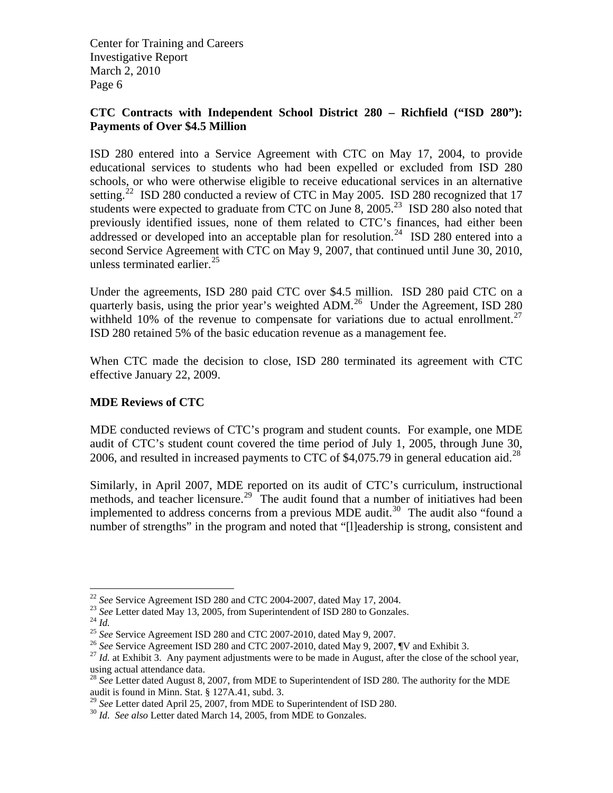## **CTC Contracts with Independent School District 280 – Richfield ("ISD 280"): Payments of Over \$4.5 Million**

ISD 280 entered into a Service Agreement with CTC on May 17, 2004, to provide educational services to students who had been expelled or excluded from ISD 280 schools, or who were otherwise eligible to receive educational services in an alternative setting.<sup>[22](#page-5-0)</sup> ISD 280 conducted a review of CTC in May 2005. ISD 280 recognized that 17 students were expected to graduate from CTC on June 8, 2005.<sup>[23](#page-5-1)</sup> ISD 280 also noted that previously identified issues, none of them related to CTC's finances, had either been addressed or developed into an acceptable plan for resolution.<sup>[24](#page-5-2)</sup> ISD 280 entered into a second Service Agreement with CTC on May 9, 2007, that continued until June 30, 2010, unless terminated earlier. $^{25}$  $^{25}$  $^{25}$ 

Under the agreements, ISD 280 paid CTC over \$4.5 million. ISD 280 paid CTC on a quarterly basis, using the prior year's weighted ADM.<sup>[26](#page-5-4)</sup> Under the Agreement, ISD 280 withheld 10% of the revenue to compensate for variations due to actual enrollment.<sup>27</sup> ISD 280 retained 5% of the basic education revenue as a management fee.

When CTC made the decision to close, ISD 280 terminated its agreement with CTC effective January 22, 2009.

## **MDE Reviews of CTC**

MDE conducted reviews of CTC's program and student counts. For example, one MDE audit of CTC's student count covered the time period of July 1, 2005, through June 30, 2006, and resulted in increased payments to CTC of \$4,075.79 in general education aid.<sup>[28](#page-5-6)</sup>

Similarly, in April 2007, MDE reported on its audit of CTC's curriculum, instructional methods, and teacher licensure.<sup>[29](#page-5-7)</sup> The audit found that a number of initiatives had been implemented to address concerns from a previous MDE audit.<sup>[30](#page-5-8)</sup> The audit also "found a number of strengths" in the program and noted that "[I]eadership is strong, consistent and

<span id="page-5-2"></span>

<span id="page-5-3"></span>

<span id="page-5-5"></span><span id="page-5-4"></span>

<span id="page-5-1"></span><span id="page-5-0"></span><sup>&</sup>lt;sup>22</sup> See Service Agreement ISD 280 and CTC 2004-2007, dated May 17, 2004.<br><sup>23</sup> See Letter dated May 13, 2005, from Superintendent of ISD 280 to Gonzales.<br><sup>24</sup> Id.<br><sup>25</sup> See Service Agreement ISD 280 and CTC 2007-2010, date using actual attendance data.

<span id="page-5-6"></span><sup>&</sup>lt;sup>28</sup> See Letter dated August 8, 2007, from MDE to Superintendent of ISD 280. The authority for the MDE audit is found in Minn. Stat. § 127A.41, subd. 3.

<span id="page-5-8"></span><span id="page-5-7"></span><sup>29</sup> *See* Letter dated April 25, 2007, from MDE to Superintendent of ISD 280. 30 *Id. See also* Letter dated March 14, 2005, from MDE to Gonzales.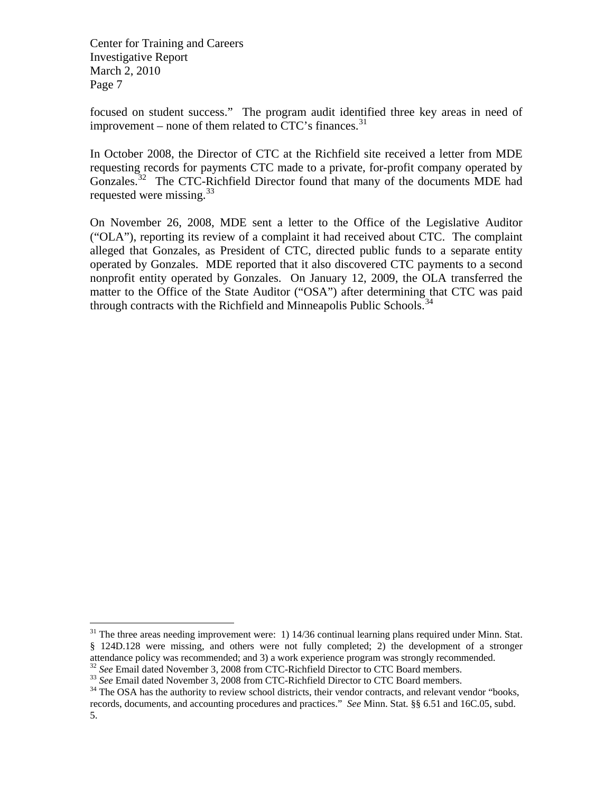$\overline{a}$ 

focused on student success." The program audit identified three key areas in need of improvement – none of them related to  $CTC$ 's finances.<sup>[31](#page-6-0)</sup>

In October 2008, the Director of CTC at the Richfield site received a letter from MDE requesting records for payments CTC made to a private, for-profit company operated by Gonzales.<sup>[32](#page-6-1)</sup> The CTC-Richfield Director found that many of the documents MDE had requested were missing.<sup>[33](#page-6-2)</sup>

On November 26, 2008, MDE sent a letter to the Office of the Legislative Auditor ("OLA"), reporting its review of a complaint it had received about CTC. The complaint alleged that Gonzales, as President of CTC, directed public funds to a separate entity operated by Gonzales. MDE reported that it also discovered CTC payments to a second nonprofit entity operated by Gonzales. On January 12, 2009, the OLA transferred the matter to the Office of the State Auditor ("OSA") after determining that CTC was paid through contracts with the Richfield and Minneapolis Public Schools.<sup>[34](#page-6-3)</sup>

<span id="page-6-0"></span> $31$  The three areas needing improvement were: 1) 14/36 continual learning plans required under Minn. Stat. § 124D.128 were missing, and others were not fully completed; 2) the development of a stronger attendance policy was recommended; and 3) a work experience program was strongly recommended.<br><sup>32</sup> See Email dated November 3, 2008 from CTC-Richfield Director to CTC Board members.

<span id="page-6-2"></span><span id="page-6-1"></span><sup>&</sup>lt;sup>33</sup> See Email dated November 3, 2008 from CTC-Richfield Director to CTC Board members.<br><sup>34</sup> The OSA has the authority to review school districts, their vendor contracts, and relevant vendor "books,

<span id="page-6-3"></span>records, documents, and accounting procedures and practices." *See* Minn. Stat. §§ 6.51 and 16C.05, subd. 5.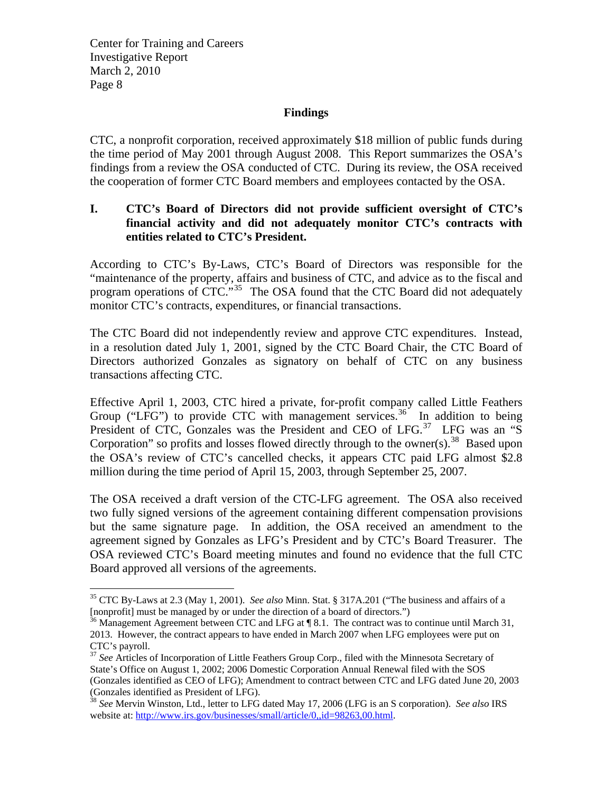$\overline{a}$ 

#### **Findings**

CTC, a nonprofit corporation, received approximately \$18 million of public funds during the time period of May 2001 through August 2008. This Report summarizes the OSA's findings from a review the OSA conducted of CTC. During its review, the OSA received the cooperation of former CTC Board members and employees contacted by the OSA.

#### **I. CTC's Board of Directors did not provide sufficient oversight of CTC's financial activity and did not adequately monitor CTC's contracts with entities related to CTC's President.**

According to CTC's By-Laws, CTC's Board of Directors was responsible for the "maintenance of the property, affairs and business of CTC, and advice as to the fiscal and program operations of CTC."<sup>[35](#page-7-0)</sup> The OSA found that the CTC Board did not adequately monitor CTC's contracts, expenditures, or financial transactions.

The CTC Board did not independently review and approve CTC expenditures. Instead, in a resolution dated July 1, 2001, signed by the CTC Board Chair, the CTC Board of Directors authorized Gonzales as signatory on behalf of CTC on any business transactions affecting CTC.

Effective April 1, 2003, CTC hired a private, for-profit company called Little Feathers Group ("LFG") to provide CTC with management services.<sup>[36](#page-7-1)</sup> In addition to being President of CTC, Gonzales was the President and CEO of LFG.<sup>[37](#page-7-2)</sup> LFG was an "S Corporation" so profits and losses flowed directly through to the owner(s).<sup>[38](#page-7-3)</sup> Based upon the OSA's review of CTC's cancelled checks, it appears CTC paid LFG almost \$2.8 million during the time period of April 15, 2003, through September 25, 2007.

The OSA received a draft version of the CTC-LFG agreement. The OSA also received two fully signed versions of the agreement containing different compensation provisions but the same signature page. In addition, the OSA received an amendment to the agreement signed by Gonzales as LFG's President and by CTC's Board Treasurer. The OSA reviewed CTC's Board meeting minutes and found no evidence that the full CTC Board approved all versions of the agreements.

<span id="page-7-0"></span><sup>35</sup> CTC By-Laws at 2.3 (May 1, 2001). *See also* Minn. Stat. § 317A.201 ("The business and affairs of a [nonprofit] must be managed by or under the direction of a board of directors.")

<span id="page-7-1"></span> $36$  Management Agreement between CTC and LFG at  $\P$  8.1. The contract was to continue until March 31, 2013. However, the contract appears to have ended in March 2007 when LFG employees were put on CTC's payroll.

<span id="page-7-2"></span><sup>&</sup>lt;sup>37</sup> See Articles of Incorporation of Little Feathers Group Corp., filed with the Minnesota Secretary of State's Office on August 1, 2002; 2006 Domestic Corporation Annual Renewal filed with the SOS (Gonzales identified as CEO of LFG); Amendment to contract between CTC and LFG dated June 20, 2003 (Gonzales identified as President of LFG). 38 *See* Mervin Winston, Ltd., letter to LFG dated May 17, 2006 (LFG is an S corporation). *See also* IRS

<span id="page-7-3"></span>website at: [http://www.irs.gov/businesses/small/article/0,,id=98263,00.html.](http://www.irs.gov/businesses/small/article/0,,id=98263,00.html)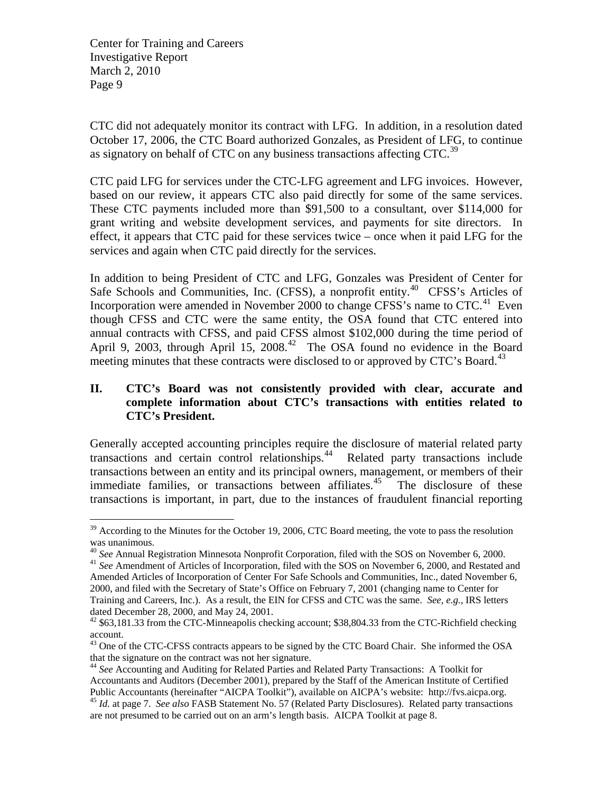$\overline{a}$ 

CTC did not adequately monitor its contract with LFG. In addition, in a resolution dated October 17, 2006, the CTC Board authorized Gonzales, as President of LFG, to continue as signatory on behalf of CTC on any business transactions affecting CTC.<sup>[39](#page-8-0)</sup>

CTC paid LFG for services under the CTC-LFG agreement and LFG invoices. However, based on our review, it appears CTC also paid directly for some of the same services. These CTC payments included more than \$91,500 to a consultant, over \$114,000 for grant writing and website development services, and payments for site directors. In effect, it appears that CTC paid for these services twice – once when it paid LFG for the services and again when CTC paid directly for the services.

In addition to being President of CTC and LFG, Gonzales was President of Center for Safe Schools and Communities, Inc. (CFSS), a nonprofit entity.<sup>[40](#page-8-1)</sup> CFSS's Articles of Incorporation were amended in November 2000 to change CFSS's name to  $CTC<sup>41</sup>$  $CTC<sup>41</sup>$  $CTC<sup>41</sup>$  Even though CFSS and CTC were the same entity, the OSA found that CTC entered into annual contracts with CFSS, and paid CFSS almost \$102,000 during the time period of April 9, 2003, through April 15, 2008.<sup>[42](#page-8-3)</sup> The OSA found no evidence in the Board meeting minutes that these contracts were disclosed to or approved by CTC's Board.<sup>[43](#page-8-4)</sup>

## **II. CTC's Board was not consistently provided with clear, accurate and complete information about CTC's transactions with entities related to CTC's President.**

Generally accepted accounting principles require the disclosure of material related party transactions and certain control relationships.[44](#page-8-5) Related party transactions include transactions between an entity and its principal owners, management, or members of their immediate families, or transactions between affiliates.<sup>[45](#page-8-6)</sup> The disclosure of these transactions is important, in part, due to the instances of fraudulent financial reporting

<span id="page-8-0"></span> $39$  According to the Minutes for the October 19, 2006, CTC Board meeting, the vote to pass the resolution was unanimous.<br><sup>40</sup> See Annual Registration Minnesota Nonprofit Corporation, filed with the SOS on November 6, 2000.

<span id="page-8-2"></span><span id="page-8-1"></span><sup>&</sup>lt;sup>41</sup> See Amendment of Articles of Incorporation, filed with the SOS on November 6, 2000, and Restated and Amended Articles of Incorporation of Center For Safe Schools and Communities, Inc., dated November 6, 2000, and filed with the Secretary of State's Office on February 7, 2001 (changing name to Center for Training and Careers, Inc.). As a result, the EIN for CFSS and CTC was the same. *See, e.g.,* IRS letters dated December 28, 2000, and May 24, 2001.

<span id="page-8-3"></span><sup>&</sup>lt;sup>42</sup> \$63,181.33 from the CTC-Minneapolis checking account; \$38,804.33 from the CTC-Richfield checking account.

<span id="page-8-4"></span><sup>&</sup>lt;sup>43</sup> One of the CTC-CFSS contracts appears to be signed by the CTC Board Chair. She informed the OSA that the signature on the contract was not her signature.

<span id="page-8-6"></span><span id="page-8-5"></span><sup>44</sup> *See* Accounting and Auditing for Related Parties and Related Party Transactions: A Toolkit for Accountants and Auditors (December 2001), prepared by the Staff of the American Institute of Certified Public Accountants (hereinafter "AICPA Toolkit"), available on AICPA's website: http://fvs.aicpa.org. 45 *Id.* at page 7. *See also* FASB Statement No. 57 (Related Party Disclosures). Related party transactions are not presumed to be carried out on an arm's length basis. AICPA Toolkit at page 8.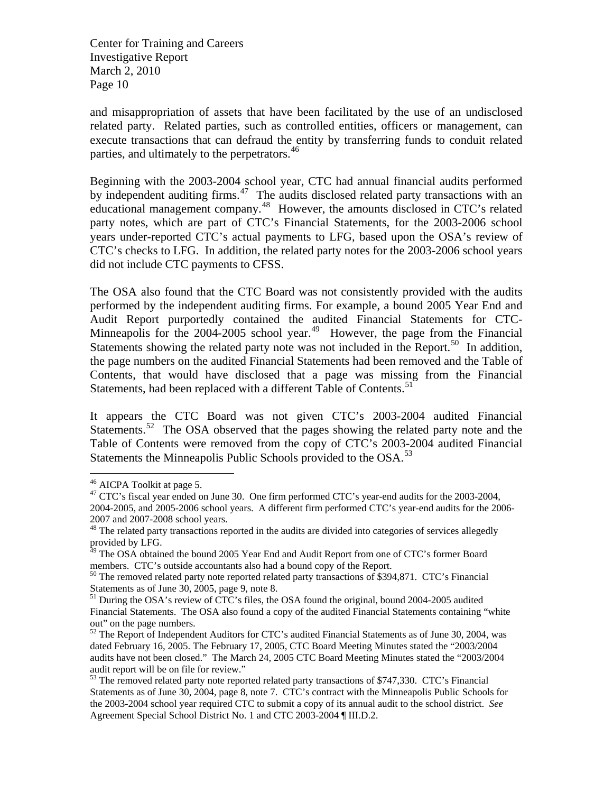and misappropriation of assets that have been facilitated by the use of an undisclosed related party. Related parties, such as controlled entities, officers or management, can execute transactions that can defraud the entity by transferring funds to conduit related parties, and ultimately to the perpetrators.<sup>[46](#page-9-0)</sup>

Beginning with the 2003-2004 school year, CTC had annual financial audits performed by independent auditing firms.<sup>[47](#page-9-1)</sup> The audits disclosed related party transactions with an educational management company.[48](#page-9-2) However, the amounts disclosed in CTC's related party notes, which are part of CTC's Financial Statements, for the 2003-2006 school years under-reported CTC's actual payments to LFG, based upon the OSA's review of CTC's checks to LFG. In addition, the related party notes for the 2003-2006 school years did not include CTC payments to CFSS.

The OSA also found that the CTC Board was not consistently provided with the audits performed by the independent auditing firms. For example, a bound 2005 Year End and Audit Report purportedly contained the audited Financial Statements for CTC-Minneapolis for the  $2004-2005$  school year.<sup>[49](#page-9-3)</sup> However, the page from the Financial Statements showing the related party note was not included in the Report.<sup>[50](#page-9-4)</sup> In addition, the page numbers on the audited Financial Statements had been removed and the Table of Contents, that would have disclosed that a page was missing from the Financial Statements, had been replaced with a different Table of Contents.<sup>[51](#page-9-5)</sup>

It appears the CTC Board was not given CTC's 2003-2004 audited Financial Statements.<sup>[52](#page-9-6)</sup> The OSA observed that the pages showing the related party note and the Table of Contents were removed from the copy of CTC's 2003-2004 audited Financial Statements the Minneapolis Public Schools provided to the OSA.<sup>[53](#page-9-7)</sup>

<span id="page-9-0"></span><sup>46</sup> AICPA Toolkit at page 5.

<span id="page-9-1"></span><sup>&</sup>lt;sup>47</sup> CTC's fiscal year ended on June 30. One firm performed CTC's year-end audits for the 2003-2004, 2004-2005, and 2005-2006 school years. A different firm performed CTC's year-end audits for the 2006- 2007 and 2007-2008 school years.

<span id="page-9-2"></span><sup>&</sup>lt;sup>48</sup> The related party transactions reported in the audits are divided into categories of services allegedly provided by LFG.

<span id="page-9-3"></span><sup>&</sup>lt;sup>49</sup> The OSA obtained the bound 2005 Year End and Audit Report from one of CTC's former Board members. CTC's outside accountants also had a bound copy of the Report.<br><sup>50</sup> The removed related party note reported related party transactions of \$394,871. CTC's Financial

<span id="page-9-4"></span>Statements as of June 30, 2005, page 9, note 8.

<span id="page-9-5"></span><sup>&</sup>lt;sup>51</sup> During the OSA's review of CTC's files, the OSA found the original, bound 2004-2005 audited Financial Statements. The OSA also found a copy of the audited Financial Statements containing "white out" on the page numbers.

<span id="page-9-6"></span> $52$  The Report of Independent Auditors for CTC's audited Financial Statements as of June 30, 2004, was dated February 16, 2005. The February 17, 2005, CTC Board Meeting Minutes stated the "2003/2004 audits have not been closed." The March 24, 2005 CTC Board Meeting Minutes stated the "2003/2004 audit report will be on file for review."

<span id="page-9-7"></span><sup>&</sup>lt;sup>53</sup> The removed related party note reported related party transactions of \$747,330. CTC's Financial Statements as of June 30, 2004, page 8, note 7. CTC's contract with the Minneapolis Public Schools for the 2003-2004 school year required CTC to submit a copy of its annual audit to the school district. *See*  Agreement Special School District No. 1 and CTC 2003-2004 ¶ III.D.2.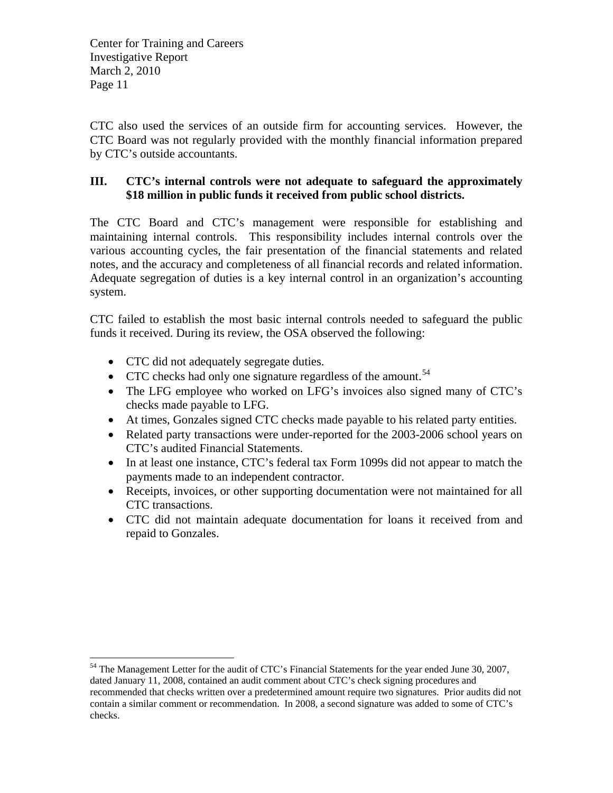CTC also used the services of an outside firm for accounting services. However, the CTC Board was not regularly provided with the monthly financial information prepared by CTC's outside accountants.

## **III. CTC's internal controls were not adequate to safeguard the approximately \$18 million in public funds it received from public school districts.**

The CTC Board and CTC's management were responsible for establishing and maintaining internal controls. This responsibility includes internal controls over the various accounting cycles, the fair presentation of the financial statements and related notes, and the accuracy and completeness of all financial records and related information. Adequate segregation of duties is a key internal control in an organization's accounting system.

CTC failed to establish the most basic internal controls needed to safeguard the public funds it received. During its review, the OSA observed the following:

• CTC did not adequately segregate duties.

- $\bullet$  CTC checks had only one signature regardless of the amount.<sup>[54](#page-10-0)</sup>
- The LFG employee who worked on LFG's invoices also signed many of CTC's checks made payable to LFG.
- At times, Gonzales signed CTC checks made payable to his related party entities.
- Related party transactions were under-reported for the 2003-2006 school years on CTC's audited Financial Statements.
- In at least one instance, CTC's federal tax Form 1099s did not appear to match the payments made to an independent contractor.
- Receipts, invoices, or other supporting documentation were not maintained for all CTC transactions.
- CTC did not maintain adequate documentation for loans it received from and repaid to Gonzales.

<span id="page-10-0"></span> $54$  The Management Letter for the audit of CTC's Financial Statements for the year ended June 30, 2007, dated January 11, 2008, contained an audit comment about CTC's check signing procedures and recommended that checks written over a predetermined amount require two signatures. Prior audits did not contain a similar comment or recommendation. In 2008, a second signature was added to some of CTC's checks.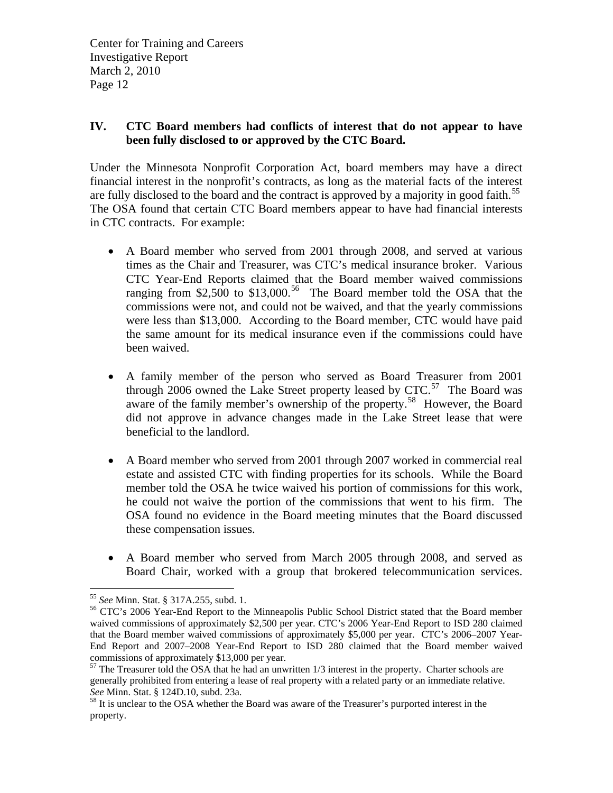## **IV. CTC Board members had conflicts of interest that do not appear to have been fully disclosed to or approved by the CTC Board.**

Under the Minnesota Nonprofit Corporation Act, board members may have a direct financial interest in the nonprofit's contracts, as long as the material facts of the interest are fully disclosed to the board and the contract is approved by a majority in good faith.<sup>[55](#page-11-0)</sup> The OSA found that certain CTC Board members appear to have had financial interests in CTC contracts. For example:

- A Board member who served from 2001 through 2008, and served at various times as the Chair and Treasurer, was CTC's medical insurance broker. Various CTC Year-End Reports claimed that the Board member waived commissions ranging from \$2,500 to \$13,000.<sup>[56](#page-11-1)</sup> The Board member told the OSA that the commissions were not, and could not be waived, and that the yearly commissions were less than \$13,000. According to the Board member, CTC would have paid the same amount for its medical insurance even if the commissions could have been waived.
- A family member of the person who served as Board Treasurer from 2001 through 2006 owned the Lake Street property leased by  $CTC$ <sup>[57](#page-11-2)</sup>. The Board was aware of the family member's ownership of the property.<sup>[58](#page-11-3)</sup> However, the Board did not approve in advance changes made in the Lake Street lease that were beneficial to the landlord.
- A Board member who served from 2001 through 2007 worked in commercial real estate and assisted CTC with finding properties for its schools. While the Board member told the OSA he twice waived his portion of commissions for this work, he could not waive the portion of the commissions that went to his firm. The OSA found no evidence in the Board meeting minutes that the Board discussed these compensation issues.
- A Board member who served from March 2005 through 2008, and served as Board Chair, worked with a group that brokered telecommunication services.

<span id="page-11-1"></span><span id="page-11-0"></span><sup>&</sup>lt;sup>55</sup> *See* Minn. Stat. § 317A.255, subd. 1.<br><sup>56</sup> CTC's 2006 Year-End Report to the Minneapolis Public School District stated that the Board member waived commissions of approximately \$2,500 per year. CTC's 2006 Year-End Report to ISD 280 claimed that the Board member waived commissions of approximately \$5,000 per year. CTC's 2006–2007 Year-End Report and 2007–2008 Year-End Report to ISD 280 claimed that the Board member waived commissions of approximately \$13,000 per year.

<span id="page-11-2"></span> $57$  The Treasurer told the OSA that he had an unwritten  $1/3$  interest in the property. Charter schools are generally prohibited from entering a lease of real property with a related party or an immediate relative. *See* Minn. Stat. § 124D.10, subd. 23a.<br><sup>58</sup> It is unclear to the OSA whether the Board was aware of the Treasurer's purported interest in the

<span id="page-11-3"></span>property.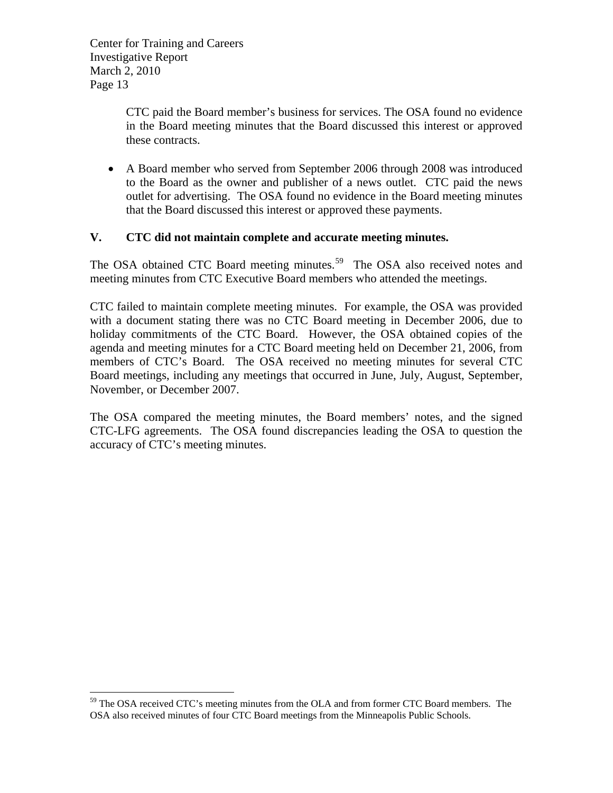$\overline{a}$ 

CTC paid the Board member's business for services. The OSA found no evidence in the Board meeting minutes that the Board discussed this interest or approved these contracts.

 A Board member who served from September 2006 through 2008 was introduced to the Board as the owner and publisher of a news outlet. CTC paid the news outlet for advertising. The OSA found no evidence in the Board meeting minutes that the Board discussed this interest or approved these payments.

#### **V. CTC did not maintain complete and accurate meeting minutes.**

The OSA obtained CTC Board meeting minutes.<sup>[59](#page-12-0)</sup> The OSA also received notes and meeting minutes from CTC Executive Board members who attended the meetings.

CTC failed to maintain complete meeting minutes. For example, the OSA was provided with a document stating there was no CTC Board meeting in December 2006, due to holiday commitments of the CTC Board. However, the OSA obtained copies of the agenda and meeting minutes for a CTC Board meeting held on December 21, 2006, from members of CTC's Board. The OSA received no meeting minutes for several CTC Board meetings, including any meetings that occurred in June, July, August, September, November, or December 2007.

The OSA compared the meeting minutes, the Board members' notes, and the signed CTC-LFG agreements. The OSA found discrepancies leading the OSA to question the accuracy of CTC's meeting minutes.

<span id="page-12-0"></span><sup>&</sup>lt;sup>59</sup> The OSA received CTC's meeting minutes from the OLA and from former CTC Board members. The OSA also received minutes of four CTC Board meetings from the Minneapolis Public Schools.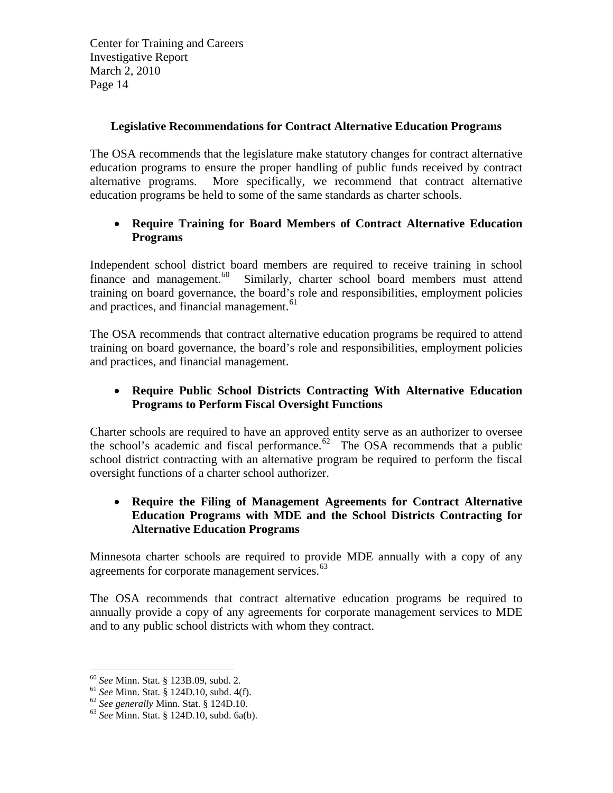#### **Legislative Recommendations for Contract Alternative Education Programs**

The OSA recommends that the legislature make statutory changes for contract alternative education programs to ensure the proper handling of public funds received by contract alternative programs. More specifically, we recommend that contract alternative education programs be held to some of the same standards as charter schools.

## **Require Training for Board Members of Contract Alternative Education Programs**

and practices, and financial management.<sup>61</sup> Independent school district board members are required to receive training in school finance and management.<sup>[60](#page-13-0)</sup> Similarly, charter school board members must attend training on board governance, the board's role and responsibilities, employment policies

The OSA recommends that contract alternative education programs be required to attend training on board governance, the board's role and responsibilities, employment policies and practices, and financial management.

## **Require Public School Districts Contracting With Alternative Education Programs to Perform Fiscal Oversight Functions**

Charter schools are required to have an approved entity serve as an authorizer to oversee the school's academic and fiscal performance. $62$  The OSA recommends that a public school district contracting with an alternative program be required to perform the fiscal oversight functions of a charter school authorizer.

### **Require the Filing of Management Agreements for Contract Alternative Education Programs with MDE and the School Districts Contracting for Alternative Education Programs**

Minnesota charter schools are required to provide MDE annually with a copy of any agreements for corporate management services.<sup>[63](#page-13-2)</sup>

The OSA recommends that contract alternative education programs be required to annually provide a copy of any agreements for corporate management services to MDE and to any public school districts with whom they contract.

<sup>&</sup>lt;sup>60</sup> See Minn. Stat. § 123B.09, subd. 2.

<span id="page-13-1"></span><span id="page-13-0"></span><sup>61</sup> *See Minn. Stat.* § 124D.10, subd. 4(f).<br><sup>62</sup> *See generally Minn. Stat.* § 124D.10. <sup>63</sup> *See Minn. Stat.* § 124D.10, subd. 6a(b).

<span id="page-13-2"></span>